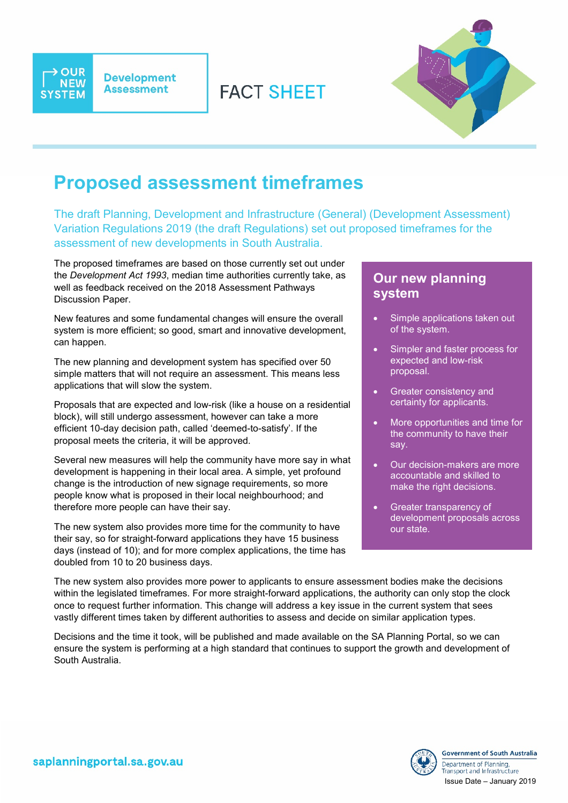

→ **OUR** 

**NEW** 

**SYSTEM** 



## **Proposed assessment timeframes**

The draft Planning, Development and Infrastructure (General) (Development Assessment) Variation Regulations 2019 (the draft Regulations) set out proposed timeframes for the assessment of new developments in South Australia.

**FACT SHEFT** 

The proposed timeframes are based on those currently set out under the *Development Act 1993*, median time authorities currently take, as well as feedback received on the 2018 Assessment Pathways Discussion Paper.

New features and some fundamental changes will ensure the overall system is more efficient; so good, smart and innovative development, can happen.

The new planning and development system has specified over 50 simple matters that will not require an assessment. This means less applications that will slow the system.

Proposals that are expected and low-risk (like a house on a residential block), will still undergo assessment, however can take a more efficient 10-day decision path, called 'deemed-to-satisfy'. If the proposal meets the criteria, it will be approved.

Several new measures will help the community have more say in what development is happening in their local area. A simple, yet profound change is the introduction of new signage requirements, so more people know what is proposed in their local neighbourhood; and therefore more people can have their say.

The new system also provides more time for the community to have their say, so for straight-forward applications they have 15 business days (instead of 10); and for more complex applications, the time has doubled from 10 to 20 business days.

### **Our new planning system**

- Simple applications taken out of the system.
- Simpler and faster process for expected and low-risk proposal.
- Greater consistency and certainty for applicants.
- More opportunities and time for the community to have their say.
- Our decision-makers are more accountable and skilled to make the right decisions.
- Greater transparency of development proposals across our state.

The new system also provides more power to applicants to ensure assessment bodies make the decisions within the legislated timeframes. For more straight-forward applications, the authority can only stop the clock once to request further information. This change will address a key issue in the current system that sees vastly different times taken by different authorities to assess and decide on similar application types.

Decisions and the time it took, will be published and made available on the SA Planning Portal, so we can ensure the system is performing at a high standard that continues to support the growth and development of South Australia.

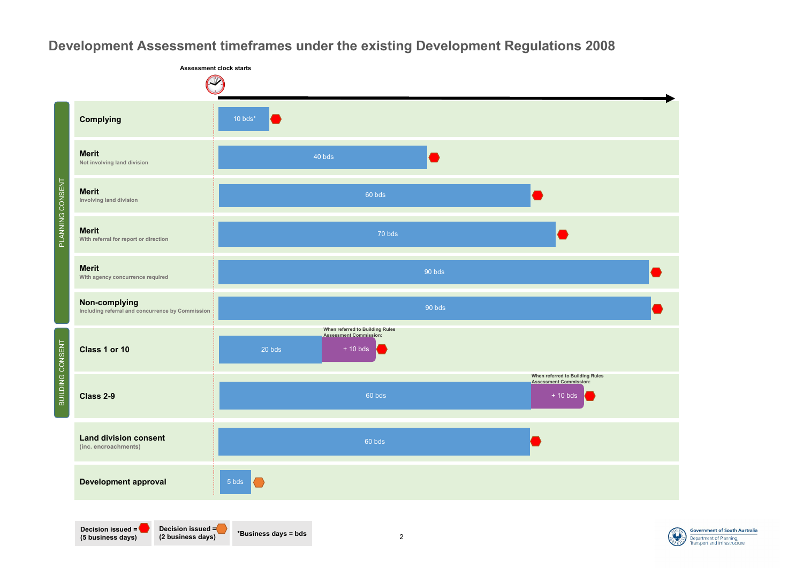

**Government of South Australia** Department of Planning, ransport and Infrastructure

# **Development Assessment timeframes under the existing Development Regulations 2008**